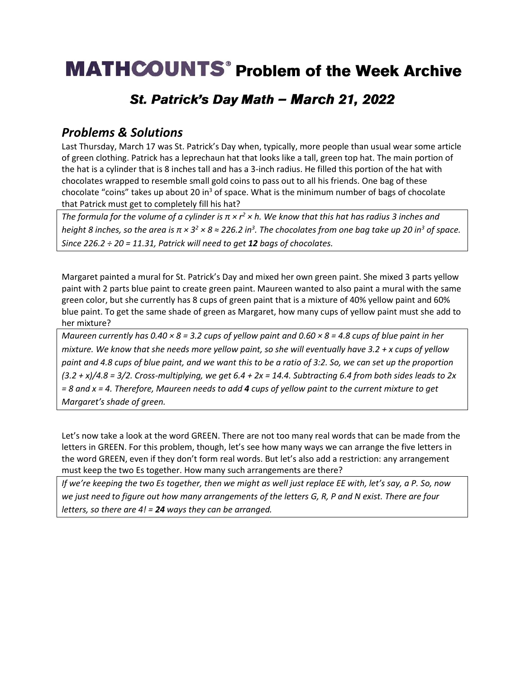# **MATHCOUNTS**<sup>®</sup> Problem of the Week Archive

## St. Patrick's Day Math - March 21, 2022

### *Problems & Solutions*

Last Thursday, March 17 was St. Patrick's Day when, typically, more people than usual wear some article of green clothing. Patrick has a leprechaun hat that looks like a tall, green top hat. The main portion of the hat is a cylinder that is 8 inches tall and has a 3-inch radius. He filled this portion of the hat with chocolates wrapped to resemble small gold coins to pass out to all his friends. One bag of these chocolate "coins" takes up about 20 in $3$  of space. What is the minimum number of bags of chocolate that Patrick must get to completely fill his hat?

*The formula for the volume of a cylinder is π × r <sup>2</sup> × h. We know that this hat has radius 3 inches and height 8 inches, so the area is π × 3 <sup>2</sup> × 8 ≈ 226.2 in<sup>3</sup> . The chocolates from one bag take up 20 in<sup>3</sup> of space. Since 226.2 ÷ 20 = 11.31, Patrick will need to get 12 bags of chocolates.*

Margaret painted a mural for St. Patrick's Day and mixed her own green paint. She mixed 3 parts yellow paint with 2 parts blue paint to create green paint. Maureen wanted to also paint a mural with the same green color, but she currently has 8 cups of green paint that is a mixture of 40% yellow paint and 60% blue paint. To get the same shade of green as Margaret, how many cups of yellow paint must she add to her mixture?

*Maureen currently has 0.40 × 8 = 3.2 cups of yellow paint and 0.60 × 8 = 4.8 cups of blue paint in her mixture. We know that she needs more yellow paint, so she will eventually have 3.2 + x cups of yellow paint and 4.8 cups of blue paint, and we want this to be a ratio of 3:2. So, we can set up the proportion (3.2 + x)/4.8 = 3/2. Cross-multiplying, we get 6.4 + 2x = 14.4. Subtracting 6.4 from both sides leads to 2x = 8 and x = 4. Therefore, Maureen needs to add 4 cups of yellow paint to the current mixture to get Margaret's shade of green.* 

Let's now take a look at the word GREEN. There are not too many real words that can be made from the letters in GREEN. For this problem, though, let's see how many ways we can arrange the five letters in the word GREEN, even if they don't form real words. But let's also add a restriction: any arrangement must keep the two Es together. How many such arrangements are there?

*If we're keeping the two Es together, then we might as well just replace EE with, let's say, a P. So, now we just need to figure out how many arrangements of the letters G, R, P and N exist. There are four letters, so there are 4! = 24 ways they can be arranged.*